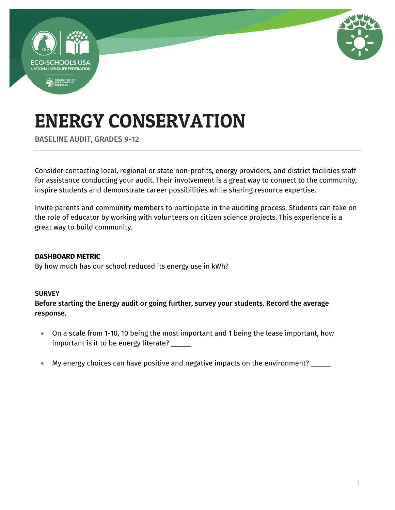

BASELINE AUDIT, GRADES 9-12

Consider contacting local, regional or state non-profits, energy providers, and district facilities staff for assistance conducting your audit. Their involvement is a great way to connect to the community, inspire students and demonstrate career possibilities while sharing resource expertise.

Invite parents and community members to participate in the auditing process. Students can take on the role of educator by working with volunteers on citizen science projects. This experience is a great way to build community.

### **DASHBOARD METRIC**

By how much has our school reduced its energy use in kWh?

### **SURVEY**

Before starting the Energy audit or going further, survey your students. Record the average response.

- On a scale from 1-10, 10 being the most important and 1 being the lease important, how important is it to be energy literate? \_\_\_\_\_
- My energy choices can have positive and negative impacts on the environment? \_\_\_\_\_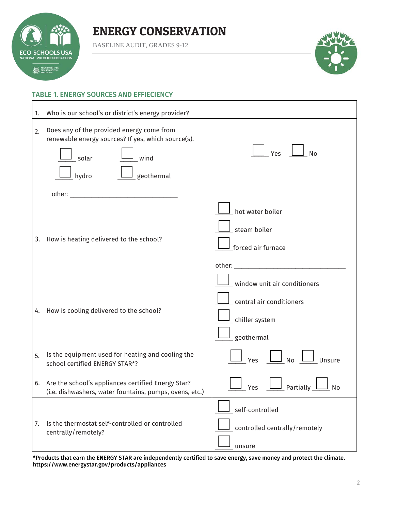

BASELINE AUDIT, GRADES 9-12



### TABLE 1. ENERGY SOURCES AND EFFIECIENCY

| 1. | Who is our school's or district's energy provider?                                                                                                     |                                                                                          |
|----|--------------------------------------------------------------------------------------------------------------------------------------------------------|------------------------------------------------------------------------------------------|
| 2. | Does any of the provided energy come from<br>renewable energy sources? If yes, which source(s).<br>$\frac{1}{2}$ wind<br>_solar<br>geothermal<br>hydro | Yes<br>No                                                                                |
|    | 3. How is heating delivered to the school?                                                                                                             | hot water boiler<br>steam boiler<br>forced air furnace                                   |
|    | 4. How is cooling delivered to the school?                                                                                                             | window unit air conditioners<br>central air conditioners<br>chiller system<br>geothermal |
| 5. | Is the equipment used for heating and cooling the<br>school certified ENERGY STAR*?                                                                    | <b>No</b><br>Yes<br>Unsure                                                               |
|    | 6. Are the school's appliances certified Energy Star?<br>(i.e. dishwashers, water fountains, pumps, ovens, etc.)                                       | Partially 1<br>Yes<br>No                                                                 |
| 7. | Is the thermostat self-controlled or controlled<br>centrally/remotely?                                                                                 | self-controlled<br>controlled centrally/remotely<br>unsure                               |

\*Products that earn the ENERGY STAR are independently certified to save energy, save money and protect the climate. <https://www.energystar.gov/products/appliances>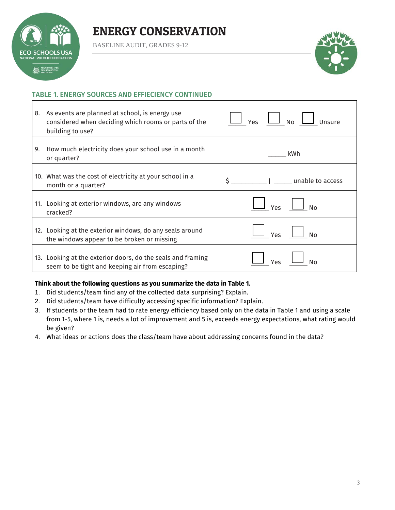## **SCHOOLSUS** NAL WILDLIFE FEDERATI **EDUNDATION FOR**

### ENERGY CONSERVATION

BASELINE AUDIT, GRADES 9-12



#### TABLE 1. ENERGY SOURCES AND EFFIECIENCY CONTINUED

| 8. | As events are planned at school, is energy use<br>considered when deciding which rooms or parts of the<br>building to use? | J <sub>No</sub><br>Unsure<br>Yes |
|----|----------------------------------------------------------------------------------------------------------------------------|----------------------------------|
| 9. | How much electricity does your school use in a month<br>or quarter?                                                        | kWh                              |
|    | 10. What was the cost of electricity at your school in a<br>month or a quarter?                                            | unable to access                 |
|    | 11. Looking at exterior windows, are any windows<br>cracked?                                                               | Yes<br>No                        |
|    | 12. Looking at the exterior windows, do any seals around<br>the windows appear to be broken or missing                     | Yes<br>No                        |
|    | 13. Looking at the exterior doors, do the seals and framing<br>seem to be tight and keeping air from escaping?             | Yes<br>N٥                        |

#### **Think about the following questions as you summarize the data in Table 1.**

- 1. Did students/team find any of the collected data surprising? Explain.
- 2. Did students/team have difficulty accessing specific information? Explain.
- 3. If students or the team had to rate energy efficiency based only on the data in Table 1 and using a scale from 1-5, where 1 is, needs a lot of improvement and 5 is, exceeds energy expectations, what rating would be given?
- 4. What ideas or actions does the class/team have about addressing concerns found in the data?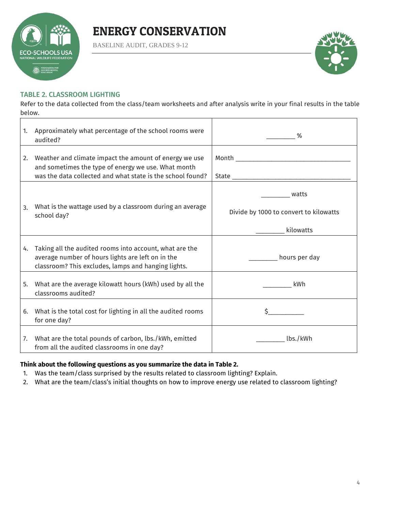

BASELINE AUDIT, GRADES 9-12



#### TABLE 2. CLASSROOM LIGHTING

Refer to the data collected from the class/team worksheets and after analysis write in your final results in the table below.

| 1. | Approximately what percentage of the school rooms were<br>audited?                                                                                                          | %                                                            |
|----|-----------------------------------------------------------------------------------------------------------------------------------------------------------------------------|--------------------------------------------------------------|
| 2. | Weather and climate impact the amount of energy we use<br>and sometimes the type of energy we use. What month<br>was the data collected and what state is the school found? |                                                              |
| 3. | What is the wattage used by a classroom during an average<br>school day?                                                                                                    | watts<br>Divide by 1000 to convert to kilowatts<br>kilowatts |
| 4. | Taking all the audited rooms into account, what are the<br>average number of hours lights are left on in the<br>classroom? This excludes, lamps and hanging lights.         | __________ hours per day                                     |
| 5. | What are the average kilowatt hours (kWh) used by all the<br>classrooms audited?                                                                                            | kWh                                                          |
| 6. | What is the total cost for lighting in all the audited rooms<br>for one day?                                                                                                |                                                              |
| 7. | What are the total pounds of carbon, lbs./kWh, emitted<br>from all the audited classrooms in one day?                                                                       | lbs./kWh                                                     |

#### **Think about the following questions as you summarize the data in Table 2.**

- 1. Was the team/class surprised by the results related to classroom lighting? Explain.
- 2. What are the team/class's initial thoughts on how to improve energy use related to classroom lighting?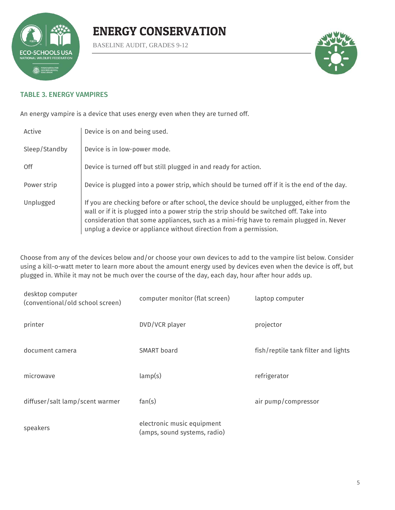

BASELINE AUDIT, GRADES 9-12



#### TABLE 3. ENERGY VAMPIRES

An energy vampire is a device that uses energy even when they are turned off.

| Active        | Device is on and being used.                                                                                                                                                                                                                                                                                                                            |
|---------------|---------------------------------------------------------------------------------------------------------------------------------------------------------------------------------------------------------------------------------------------------------------------------------------------------------------------------------------------------------|
| Sleep/Standby | Device is in low-power mode.                                                                                                                                                                                                                                                                                                                            |
| 0ff           | Device is turned off but still plugged in and ready for action.                                                                                                                                                                                                                                                                                         |
| Power strip   | Device is plugged into a power strip, which should be turned off if it is the end of the day.                                                                                                                                                                                                                                                           |
| Unplugged     | If you are checking before or after school, the device should be unplugged, either from the<br>wall or if it is plugged into a power strip the strip should be switched off. Take into<br>consideration that some appliances, such as a mini-frig have to remain plugged in. Never<br>unplug a device or appliance without direction from a permission. |

Choose from any of the devices below and/or choose your own devices to add to the vampire list below. Consider using a kill-o-watt meter to learn more about the amount energy used by devices even when the device is off, but plugged in. While it may not be much over the course of the day, each day, hour after hour adds up.

| desktop computer<br>(conventional/old school screen) | computer monitor (flat screen)                             | laptop computer                     |
|------------------------------------------------------|------------------------------------------------------------|-------------------------------------|
| printer                                              | DVD/VCR player                                             | projector                           |
| document camera                                      | SMART board                                                | fish/reptile tank filter and lights |
| microwave                                            | lamp(s)                                                    | refrigerator                        |
| diffuser/salt lamp/scent warmer                      | fan(s)                                                     | air pump/compressor                 |
| speakers                                             | electronic music equipment<br>(amps, sound systems, radio) |                                     |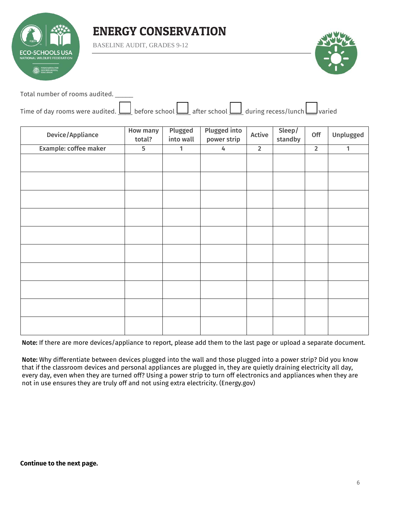

BASELINE AUDIT, GRADES 9-12



Total number of rooms audited. \_\_\_\_\_

| Time of day rooms were audited. $\Box$ before school $\Box$ after school $\Box$ during recess/lunch varied |  |  |  |  |  |  |  |
|------------------------------------------------------------------------------------------------------------|--|--|--|--|--|--|--|
|------------------------------------------------------------------------------------------------------------|--|--|--|--|--|--|--|

| Device/Appliance      | <b>How many</b><br>total? | Plugged<br>into wall | <b>Plugged into</b><br>power strip | Active      | Sleep/<br>standby | Off            | Unplugged    |
|-----------------------|---------------------------|----------------------|------------------------------------|-------------|-------------------|----------------|--------------|
| Example: coffee maker | 5                         | 1                    | 4                                  | $\mathbf 2$ |                   | $\overline{2}$ | $\mathbf{1}$ |
|                       |                           |                      |                                    |             |                   |                |              |
|                       |                           |                      |                                    |             |                   |                |              |
|                       |                           |                      |                                    |             |                   |                |              |
|                       |                           |                      |                                    |             |                   |                |              |
|                       |                           |                      |                                    |             |                   |                |              |
|                       |                           |                      |                                    |             |                   |                |              |
|                       |                           |                      |                                    |             |                   |                |              |
|                       |                           |                      |                                    |             |                   |                |              |
|                       |                           |                      |                                    |             |                   |                |              |
|                       |                           |                      |                                    |             |                   |                |              |

Note: If there are more devices/appliance to report, please add them to the last page or upload a separate document.

Note: Why differentiate between devices plugged into the wall and those plugged into a power strip? Did you know that if the classroom devices and personal appliances are plugged in, they are quietly draining electricity all day, every day, even when they are turned off? Using a power strip to turn off electronics and appliances when they are not in use ensures they are truly off and not using extra electricity. (Energy.gov)